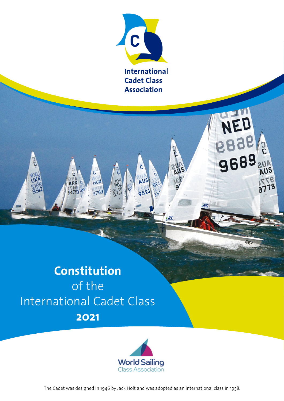

BE

 $.90$ 

r<br>S

**9689** 

**FRON** 

# **Constitution**  of the International Cadet Class **2021**

 $\frac{c}{c}$ 

ARC

34793 iBF

c

HUN

9769

r<br>S



The Cadet was designed in 1946 by Jack Holt and was adopted as an international class in 1958.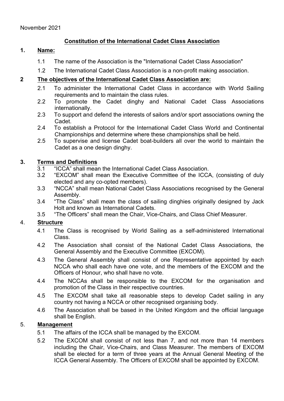# **Constitution of the International Cadet Class Association**

#### **1. Name:**

- 1.1 The name of the Association is the "International Cadet Class Association"
- 1.2 The International Cadet Class Association is a non-profit making association.

### **2 The objectives of the International Cadet Class Association are:**

- 2.1 To administer the International Cadet Class in accordance with World Sailing requirements and to maintain the class rules.
- 2.2 To promote the Cadet dinghy and National Cadet Class Associations internationally.
- 2.3 To support and defend the interests of sailors and/or sport associations owning the Cadet.
- 2.4 To establish a Protocol for the International Cadet Class World and Continental Championships and determine where these championships shall be held.
- 2.5 To supervise and license Cadet boat-builders all over the world to maintain the Cadet as a one design dinghy.

#### **3. Terms and Definitions**

- 3.1 "ICCA" shall mean the International Cadet Class Association.<br>3.2 "EXCOM" shall mean the Executive Committee of the ICC
- 3.2 "EXCOM" shall mean the Executive Committee of the ICCA, (consisting of duly elected and any co-opted members).
- 3.3 "NCCA" shall mean National Cadet Class Associations recognised by the General Assembly.
- 3.4 "The Class" shall mean the class of sailing dinghies originally designed by Jack Holt and known as International Cadets.
- 3.5 "The Officers" shall mean the Chair, Vice-Chairs, and Class Chief Measurer.

## 4. **Structure**

- 4.1 The Class is recognised by World Sailing as a self-administered International Class.
- 4.2 The Association shall consist of the National Cadet Class Associations, the General Assembly and the Executive Committee (EXCOM).
- 4.3 The General Assembly shall consist of one Representative appointed by each NCCA who shall each have one vote, and the members of the EXCOM and the Officers of Honour, who shall have no vote.
- 4.4 The NCCAs shall be responsible to the EXCOM for the organisation and promotion of the Class in their respective countries.
- 4.5 The EXCOM shall take all reasonable steps to develop Cadet sailing in any country not having a NCCA or other recognised organising body.
- 4.6 The Association shall be based in the United Kingdom and the official language shall be English.

## 5. **Management**

- 5.1 The affairs of the ICCA shall be managed by the EXCOM.
- 5.2 The EXCOM shall consist of not less than 7, and not more than 14 members including the Chair, Vice-Chairs, and Class Measurer. The members of EXCOM shall be elected for a term of three years at the Annual General Meeting of the ICCA General Assembly. The Officers of EXCOM shall be appointed by EXCOM.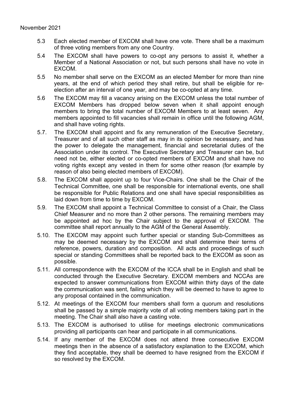- 5.3 Each elected member of EXCOM shall have one vote. There shall be a maximum of three voting members from any one Country.
- 5.4 The EXCOM shall have powers to co-opt any persons to assist it, whether a Member of a National Association or not, but such persons shall have no vote in EXCOM.
- 5.5 No member shall serve on the EXCOM as an elected Member for more than nine years, at the end of which period they shall retire, but shall be eligible for reelection after an interval of one year, and may be co-opted at any time.
- 5.6 The EXCOM may fill a vacancy arising on the EXCOM unless the total number of EXCOM Members has dropped below seven when it shall appoint enough members to bring the total number of EXCOM Members to at least seven. Any members appointed to fill vacancies shall remain in office until the following AGM, and shall have voting rights.
- 5.7. The EXCOM shall appoint and fix any remuneration of the Executive Secretary, Treasurer and of all such other staff as may in its opinion be necessary, and has the power to delegate the management, financial and secretarial duties of the Association under its control. The Executive Secretary and Treasurer can be, but need not be, either elected or co-opted members of EXCOM and shall have no voting rights except any vested in them for some other reason (for example by reason of also being elected members of EXCOM).
- 5.8. The EXCOM shall appoint up to four Vice-Chairs. One shall be the Chair of the Technical Committee, one shall be responsible for international events, one shall be responsible for Public Relations and one shall have special responsibilities as laid down from time to time by EXCOM.
- 5.9. The EXCOM shall appoint a Technical Committee to consist of a Chair, the Class Chief Measurer and no more than 2 other persons. The remaining members may be appointed ad hoc by the Chair subject to the approval of EXCOM. The committee shall report annually to the AGM of the General Assembly.
- 5.10. The EXCOM may appoint such further special or standing Sub-Committees as may be deemed necessary by the EXCOM and shall determine their terms of reference, powers, duration and composition. All acts and proceedings of such special or standing Committees shall be reported back to the EXCOM as soon as possible.
- 5.11. All correspondence with the EXCOM of the ICCA shall be in English and shall be conducted through the Executive Secretary. EXCOM members and NCCAs are expected to answer communications from EXCOM within thirty days of the date the communication was sent, failing which they will be deemed to have to agree to any proposal contained in the communication.
- 5.12. At meetings of the EXCOM four members shall form a quorum and resolutions shall be passed by a simple majority vote of all voting members taking part in the meeting. The Chair shall also have a casting vote.
- 5.13. The EXCOM is authorised to utilise for meetings electronic communications providing all participants can hear and participate in all communications.
- 5.14. If any member of the EXCOM does not attend three consecutive EXCOM meetings then in the absence of a satisfactory explanation to the EXCOM, which they find acceptable, they shall be deemed to have resigned from the EXCOM if so resolved by the EXCOM.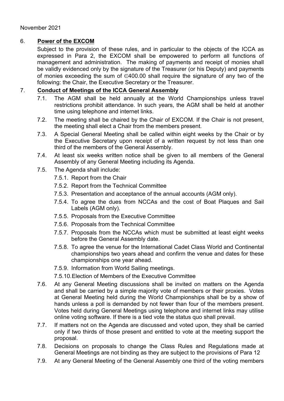# 6. **Power of the EXCOM**

Subject to the provision of these rules, and in particular to the objects of the ICCA as expressed in Para 2, the EXCOM shall be empowered to perform all functions of management and administration. The making of payments and receipt of monies shall be validly evidenced only by the signature of the Treasurer (or his Deputy) and payments of monies exceeding the sum of ∈400.00 shall require the signature of any two of the following: the Chair, the Executive Secretary or the Treasurer.

### 7. **Conduct of Meetings of the ICCA General Assembly**

- 7.1. The AGM shall be held annually at the World Championships unless travel restrictions prohibit attendance. In such years, the AGM shall be held at another time using telephone and internet links.
- 7.2. The meeting shall be chaired by the Chair of EXCOM. If the Chair is not present, the meeting shall elect a Chair from the members present.
- 7.3. A Special General Meeting shall be called within eight weeks by the Chair or by the Executive Secretary upon receipt of a written request by not less than one third of the members of the General Assembly.
- 7.4. At least six weeks written notice shall be given to all members of the General Assembly of any General Meeting including its Agenda.
- 7.5. The Agenda shall include:
	- 7.5.1. Report from the Chair
	- 7.5.2. Report from the Technical Committee
	- 7.5.3. Presentation and acceptance of the annual accounts (AGM only).
	- 7.5.4. To agree the dues from NCCAs and the cost of Boat Plaques and Sail Labels (AGM only).
	- 7.5.5. Proposals from the Executive Committee
	- 7.5.6. Proposals from the Technical Committee
	- 7.5.7. Proposals from the NCCAs which must be submitted at least eight weeks before the General Assembly date.
	- 7.5.8. To agree the venue for the International Cadet Class World and Continental championships two years ahead and confirm the venue and dates for these championships one year ahead.
	- 7.5.9. Information from World Sailing meetings.

7.5.10.Election of Members of the Executive Committee

- 7.6. At any General Meeting discussions shall be invited on matters on the Agenda and shall be carried by a simple majority vote of members or their proxies. Votes at General Meeting held during the World Championships shall be by a show of hands unless a poll is demanded by not fewer than four of the members present. Votes held during General Meetings using telephone and internet links may utilise online voting software. If there is a tied vote the status quo shall prevail.
- 7.7. If matters not on the Agenda are discussed and voted upon, they shall be carried only if two thirds of those present and entitled to vote at the meeting support the proposal.
- 7.8. Decisions on proposals to change the Class Rules and Regulations made at General Meetings are not binding as they are subject to the provisions of Para 12
- 7.9. At any General Meeting of the General Assembly one third of the voting members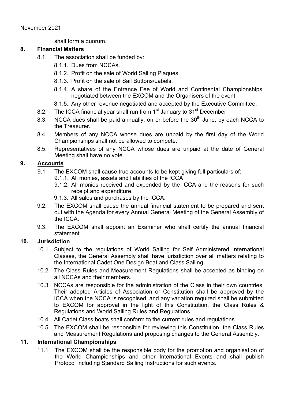shall form a quorum.

# **8. Financial Matters**

- 8.1. The association shall be funded by:
	- 8.1.1. Dues from NCCAs.
	- 8.1.2. Profit on the sale of World Sailing Plaques.
	- 8.1.3. Profit on the sale of Sail Buttons/Labels.
	- 8.1.4. A share of the Entrance Fee of World and Continental Championships, negotiated between the EXCOM and the Organisers of the event.
	- 8.1.5. Any other revenue negotiated and accepted by the Executive Committee.
- 8.2. The ICCA financial year shall run from 1<sup>st</sup> January to 31<sup>st</sup> December.
- 8.3. NCCA dues shall be paid annually, on or before the  $30<sup>th</sup>$  June, by each NCCA to the Treasurer.
- 8.4. Members of any NCCA whose dues are unpaid by the first day of the World Championships shall not be allowed to compete.
- 8.5. Representatives of any NCCA whose dues are unpaid at the date of General Meeting shall have no vote.

# **9. Accounts**

- 9.1 The EXCOM shall cause true accounts to be kept giving full particulars of:
	- 9.1.1. All monies, assets and liabilities of the ICCA
	- 9.1.2. All monies received and expended by the ICCA and the reasons for such receipt and expenditure.
	- 9.1.3. All sales and purchases by the ICCA.
- 9.2. The EXCOM shall cause the annual financial statement to be prepared and sent out with the Agenda for every Annual General Meeting of the General Assembly of the ICCA.
- 9.3. The EXCOM shall appoint an Examiner who shall certify the annual financial statement.

## **10. Jurisdiction**

- 10.1 Subject to the regulations of World Sailing for Self Administered International Classes, the General Assembly shall have jurisdiction over all matters relating to the International Cadet One Design Boat and Class Sailing.
- 10.2 The Class Rules and Measurement Regulations shall be accepted as binding on all NCCAs and their members.
- 10.3 NCCAs are responsible for the administration of the Class in their own countries. Their adopted Articles of Association or Constitution shall be approved by the ICCA when the NCCA is recognised, and any variation required shall be submitted to EXCOM for approval in the light of this Constitution, the Class Rules & Regulations and World Sailing Rules and Regulations.
- 10.4 All Cadet Class boats shall conform to the current rules and regulations.
- 10.5 The EXCOM shall be responsible for reviewing this Constitution, the Class Rules and Measurement Regulations and proposing changes to the General Assembly.

# **11**. **International Championships**

11.1 The EXCOM shall be the responsible body for the promotion and organisation of the World Championships and other International Events and shall publish Protocol including Standard Sailing Instructions for such events.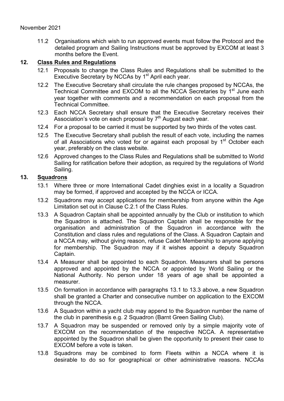11.2 Organisations which wish to run approved events must follow the Protocol and the detailed program and Sailing Instructions must be approved by EXCOM at least 3 months before the Event.

# **12. Class Rules and Regulations**

- 12.1 Proposals to change the Class Rules and Regulations shall be submitted to the Executive Secretary by NCCAs by 1<sup>st</sup> April each year.
- 12.2 The Executive Secretary shall circulate the rule changes proposed by NCCAs, the Technical Committee and EXCOM to all the NCCA Secretaries by 1<sup>st</sup> June each year together with comments and a recommendation on each proposal from the Technical Committee.
- 12.3 Each NCCA Secretary shall ensure that the Executive Secretary receives their Association's vote on each proposal by  $7<sup>th</sup>$  August each year.
- 12.4 For a proposal to be carried it must be supported by two thirds of the votes cast.
- 12.5 The Executive Secretary shall publish the result of each vote, including the names of all Associations who voted for or against each proposal by  $1<sup>st</sup>$  October each year, preferably on the class website.
- 12.6 Approved changes to the Class Rules and Regulations shall be submitted to World Sailing for ratification before their adoption, as required by the regulations of World Sailing.

## **13. Squadrons**

- 13.1 Where three or more International Cadet dinghies exist in a locality a Squadron may be formed, if approved and accepted by the NCCA or ICCA.
- 13.2 Squadrons may accept applications for membership from anyone within the Age Limitation set out in Clause C.2.1 of the Class Rules.
- 13.3 A Squadron Captain shall be appointed annually by the Club or institution to which the Squadron is attached. The Squadron Captain shall be responsible for the organisation and administration of the Squadron in accordance with the Constitution and class rules and regulations of the Class. A Squadron Captain and a NCCA may, without giving reason, refuse Cadet Membership to anyone applying for membership. The Squadron may if it wishes appoint a deputy Squadron Captain.
- 13.4 A Measurer shall be appointed to each Squadron. Measurers shall be persons approved and appointed by the NCCA or appointed by World Sailing or the National Authority. No person under 18 years of age shall be appointed a measurer.
- 13.5 On formation in accordance with paragraphs 13.1 to 13.3 above, a new Squadron shall be granted a Charter and consecutive number on application to the EXCOM through the NCCA.
- 13.6 A Squadron within a yacht club may append to the Squadron number the name of the club in parenthesis e.g. 2 Squadron (Barnt Green Sailing Club).
- 13.7 A Squadron may be suspended or removed only by a simple majority vote of EXCOM on the recommendation of the respective NCCA. A representative appointed by the Squadron shall be given the opportunity to present their case to EXCOM before a vote is taken.
- 13.8 Squadrons may be combined to form Fleets within a NCCA where it is desirable to do so for geographical or other administrative reasons. NCCAs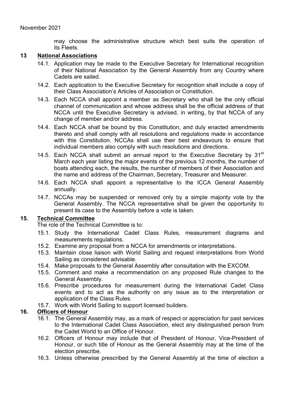may choose the administrative structure which best suits the operation of its Fleets.

#### **13 National Associations**

- 14.1. Application may be made to the Executive Secretary for International recognition of their National Association by the General Assembly from any Country where Cadets are sailed.
- 14.2. Each application to the Executive Secretary for recognition shall include a copy of their Class Association's Articles of Association or Constitution.
- 14.3. Each NCCA shall appoint a member as Secretary who shall be the only official channel of communication and whose address shall be the official address of that NCCA until the Executive Secretary is advised, in writing, by that NCCA of any change of member and/or address.
- 14.4. Each NCCA shall be bound by this Constitution, and duly enacted amendments thereto and shall comply with all resolutions and regulations made in accordance with this Constitution. NCCAs shall use their best endeavours to ensure that individual members also comply with such resolutions and directions.
- 14.5. Each NCCA shall submit an annual report to the Executive Secretary by  $31<sup>st</sup>$ March each year listing the major events of the previous 12 months, the number of boats attending each, the results, the number of members of their Association and the name and address of the Chairman, Secretary, Treasurer and Measurer.
- 14.6. Each NCCA shall appoint a representative to the ICCA General Assembly annually.
- 14.7. NCCAs may be suspended or removed only by a simple majority vote by the General Assembly. The NCCA representative shall be given the opportunity to present its case to the Assembly before a vote is taken.

#### **15. Technical Committee**

The role of the Technical Committee is to:

- 15.1. Study the International Cadet Class Rules, measurement diagrams and measurements regulations.
- 15.2. Examine any proposal from a NCCA for amendments or interpretations.
- 15.3. Maintain close liaison with World Sailing and request interpretations from World Sailing as considered advisable.
- 15.4. Make proposals to the General Assembly after consultation with the EXCOM.
- 15.5. Comment and make a recommendation on any proposed Rule changes to the General Assembly.
- 15.6. Prescribe procedures for measurement during the International Cadet Class events and to act as the authority on any issue as to the interpretation or application of the Class Rules.
- 15.7. Work with World Sailing to support licensed builders.

## **16. Officers of Honour**

- 16.1. The General Assembly may, as a mark of respect or appreciation for past services to the International Cadet Class Association, elect any distinguished person from the Cadet World to an Office of Honour.
- 16.2. Officers of Honour may include that of President of Honour, Vice-President of Honour, or such title of Honour as the General Assembly may at the time of the election prescribe.
- 16.3. Unless otherwise prescribed by the General Assembly at the time of election a